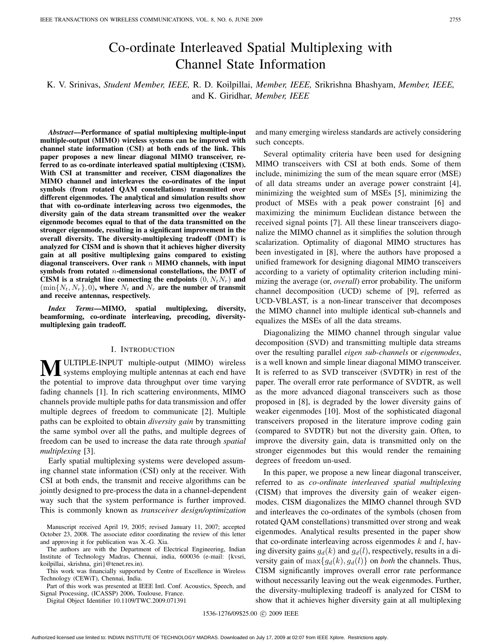# Co-ordinate Interleaved Spatial Multiplexing with Channel State Information

# K. V. Srinivas, *Student Member, IEEE,* R. D. Koilpillai, *Member, IEEE,* Srikrishna Bhashyam, *Member, IEEE,* and K. Giridhar, *Member, IEEE*

*Abstract***—Performance of spatial multiplexing multiple-input multiple-output (MIMO) wireless systems can be improved with channel state information (CSI) at both ends of the link. This paper proposes a new linear diagonal MIMO transceiver, referred to as co-ordinate interleaved spatial multiplexing (CISM). With CSI at transmitter and receiver, CISM diagonalizes the MIMO channel and interleaves the co-ordinates of the input symbols (from rotated QAM constellations) transmitted over different eigenmodes. The analytical and simulation results show that with co-ordinate interleaving across two eigenmodes, the diversity gain of the data stream transmitted over the weaker eigenmode becomes equal to that of the data transmitted on the stronger eigenmode, resulting in a significant improvement in the overall diversity. The diversity-multiplexing tradeoff (DMT) is analyzed for CISM and is shown that it achieves higher diversity gain at all positive multiplexing gains compared to existing diagonal transceivers. Over rank** *n* **MIMO channels, with input symbols from rotated** *n***-dimensional constellations, the DMT of CISM** is a straight line connecting the endpoints  $(0, N_tN_r)$  and  $(\min\{N_t, N_r\}, 0)$ , where  $N_t$  and  $N_r$  are the number of transmit **and receive antennas, respectively.**

*Index Terms***—MIMO, spatial multiplexing, diversity, beamforming, co-ordinate interleaving, precoding, diversitymultiplexing gain tradeoff.**

#### I. INTRODUCTION

**M** ULTIPLE-INPUT multiple-output (MIMO) wireless systems employing multiple antennas at each end have the potential to improve data throughput over time varying fading channels [1]. In rich scattering environments, MIMO channels provide multiple paths for data transmission and offer multiple degrees of freedom to communicate [2]. Multiple paths can be exploited to obtain *diversity gain* by transmitting the same symbol over all the paths, and multiple degrees of freedom can be used to increase the data rate through *spatial multiplexing* [3].

Early spatial multiplexing systems were developed assuming channel state information (CSI) only at the receiver. With CSI at both ends, the transmit and receive algorithms can be jointly designed to pre-process the data in a channel-dependent way such that the system performance is further improved. This is commonly known as *transceiver design/optimization*

Manuscript received April 19, 2005; revised January 11, 2007; accepted October 23, 2008. The associate editor coordinating the review of this letter and approving it for publication was X.-G. Xia.

The authors are with the Department of Electrical Engineering, Indian Institute of Technology Madras, Chennai, india, 600036 (e-mail: {kvsri, koilpillai, skrishna, giri}@tenet.res.in).

This work was financially supported by Centre of Excellence in Wireless Technology (CEWiT), Chennai, India.

Part of this work was presented at IEEE Intl. Conf. Acoustics, Speech, and Signal Processing, (ICASSP) 2006, Toulouse, France.

Digital Object Identifier 10.1109/TWC.2009.071391

and many emerging wireless standards are actively considering such concepts.

Several optimality criteria have been used for designing MIMO transceivers with CSI at both ends. Some of them include, minimizing the sum of the mean square error (MSE) of all data streams under an average power constraint [4], minimizing the weighted sum of MSEs [5], minimizing the product of MSEs with a peak power constraint [6] and maximizing the minimum Euclidean distance between the received signal points [7]. All these linear transceivers diagonalize the MIMO channel as it simplifies the solution through scalarization. Optimality of diagonal MIMO structures has been investigated in [8], where the authors have proposed a unified framework for designing diagonal MIMO transceivers according to a variety of optimality criterion including minimizing the average (or, *overall*) error probability. The uniform channel decomposition (UCD) scheme of [9], referred as UCD-VBLAST, is a non-linear transceiver that decomposes the MIMO channel into multiple identical sub-channels and equalizes the MSEs of all the data streams.

Diagonalizing the MIMO channel through singular value decomposition (SVD) and transmitting multiple data streams over the resulting parallel *eigen sub-channels* or *eigenmodes*, is a well known and simple linear diagonal MIMO transceiver. It is referred to as SVD transceiver (SVDTR) in rest of the paper. The overall error rate performance of SVDTR, as well as the more advanced diagonal transceivers such as those proposed in [8], is degraded by the lower diversity gains of weaker eigenmodes [10]. Most of the sophisticated diagonal transceivers proposed in the literature improve coding gain (compared to SVDTR) but not the diversity gain. Often, to improve the diversity gain, data is transmitted only on the stronger eigenmodes but this would render the remaining degrees of freedom un-used.

In this paper, we propose a new linear diagonal transceiver, referred to as *co-ordinate interleaved spatial multiplexing* (CISM) that improves the diversity gain of weaker eigenmodes. CISM diagonalizes the MIMO channel through SVD and interleaves the co-ordinates of the symbols (chosen from rotated QAM constellations) transmitted over strong and weak eigenmodes. Analytical results presented in the paper show that co-ordinate interleaving across eigenmodes  $k$  and  $l$ , having diversity gains  $g_d(k)$  and  $g_d(l)$ , respectively, results in a diversity gain of  $\max\{g_d(k), g_d(l)\}\$  on *both* the channels. Thus, CISM significantly improves overall error rate performance without necessarily leaving out the weak eigenmodes. Further, the diversity-multiplexing tradeoff is analyzed for CISM to show that it achieves higher diversity gain at all multiplexing

1536-1276/09\$25.00 © 2009 IEEE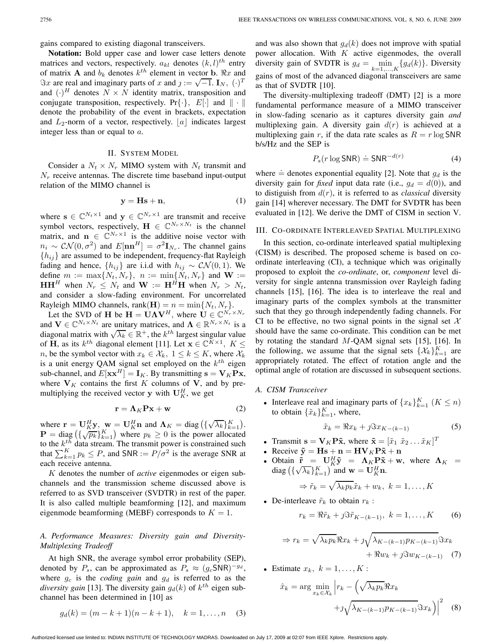gains compared to existing diagonal transceivers.

**Notation:** Bold upper case and lower case letters denote matrices and vectors, respectively.  $a_{kl}$  denotes  $(k, l)^{th}$  entry of matrix **A** and  $b_k$  denotes  $k^{th}$  element in vector **b**.  $\Re x$  and  $\Im x$  are real and imaginary parts of x and  $j := \sqrt{-1}$ . **I**<sub>N</sub>,  $(\cdot)^T$ and  $(\cdot)^H$  denotes  $N \times N$  identity matrix, transposition and conjugate transposition, respectively. Pr $\{\cdot\}$ , E[ $\cdot$ ] and  $\|\cdot\|$ denote the probability of the event in brackets, expectation and  $L_2$ -norm of a vector, respectively. |a| indicates largest integer less than or equal to a.

#### II. SYSTEM MODEL

Consider a  $N_t \times N_r$  MIMO system with  $N_t$  transmit and  $N_r$  receive antennas. The discrete time baseband input-output relation of the MIMO channel is

$$
y = Hs + n,\tag{1}
$$

where  $\mathbf{s} \in \mathbb{C}^{N_t \times 1}$  and  $\mathbf{y} \in \mathbb{C}^{N_r \times 1}$  are transmit and receive symbol vectors, respectively,  $\mathbf{H} \in \mathbb{C}^{N_r \times N_t}$  is the channel matrix, and  $\mathbf{n} \in \mathbb{C}^{N_r \times 1}$  is the additive noise vector with  $n_i \sim \mathcal{CN}(0, \sigma^2)$  and  $E[\mathbf{n}\mathbf{n}^H] = \sigma^2 \mathbf{I}_{N_r}$ . The channel gains  ${h_{ij}}$  are assumed to be independent, frequency-flat Rayleigh fading and hence,  $\{h_{ij}\}\$ are i.i.d with  $h_{ij} \sim \mathcal{CN}(0, 1)$ . We define  $m := \max\{N_t, N_r\}, n := \min\{N_t, N_r\}$  and  $W :=$  $\mathbf{H}\mathbf{H}^H$  when  $N_r \leq N_t$  and  $\mathbf{W} := \mathbf{H}^H\mathbf{H}$  when  $N_r > N_t$ , and consider a slow-fading environment. For uncorrelated Rayleigh MIMO channels,  $rank(\mathbf{H}) = n = min\{N_t, N_r\}.$ 

Let the SVD of **H** be  $\mathbf{H} = \mathbf{U}\Lambda \mathbf{V}^H$ , where  $\mathbf{U} \in \mathbb{C}^{N_r \times N_r}$ and  $\mathbf{V} \in \mathbb{C}^{N_t \times N_t}$  are unitary matrices, and  $\mathbf{\Lambda} \in \mathbb{R}^{N_r \times N_t}$  is a diagonal matrix with  $\sqrt{\lambda_k} \in \mathbb{R}^+$ , the  $k^{th}$  largest singular value of **H**, as its  $k^{th}$  diagonal element [11]. Let  $\mathbf{x} \in \mathbb{C}^{K \times 1}$ ,  $K \leq$ *n*, be the symbol vector with  $x_k \in \mathcal{X}_k$ ,  $1 \leq k \leq K$ , where  $\mathcal{X}_k$ is a unit energy QAM signal set employed on the  $k^{th}$  eigen sub-channel, and  $E[\mathbf{x} \mathbf{x}^H] = \mathbf{I}_K$ . By transmitting  $\mathbf{s} = \mathbf{V}_K \mathbf{P} \mathbf{x}$ , where  $V_K$  contains the first K columns of V, and by premultiplying the received vector **y** with  $U_K^H$ , we get

$$
\mathbf{r} = \mathbf{\Lambda}_K \mathbf{P} \mathbf{x} + \mathbf{w} \tag{2}
$$

where  $\mathbf{r} = \mathbf{U}_{K}^{H} \mathbf{y}$ ,  $\mathbf{w} = \mathbf{U}_{K}^{H} \mathbf{n}$  and  $\mathbf{\Lambda}_{K} = \text{diag} \left( \{ \sqrt{\lambda_{k}} \}_{k=1}^{K} \right)$ .<br>  $\mathbf{P} = \text{diag} \left( \frac{f}{\sqrt{n_{k}}} \right)$  where  $n_{k} > 0$  is the nower allocated **P** = diag  $(\{\sqrt{p_k}\}_{k=1}^K)$  where  $p_k \ge 0$  is the power allocated<br>to the k<sup>th</sup> data stream. The transmit power is constrained such to the  $k^{th}$  data stream. The transmit power is constrained such that  $\sum_{k=1}^{K} p_k \leq P$ , and SNR :=  $P/\sigma^2$  is the average SNR at each receive antenna.

K denotes the number of *active* eigenmodes or eigen subchannels and the transmission scheme discussed above is referred to as SVD transceiver (SVDTR) in rest of the paper. It is also called multiple beamforming [12], and maximum eigenmode beamforming (MEBF) corresponds to  $K = 1$ .

## *A. Performance Measures: Diversity gain and Diversity-Multiplexing Tradeoff*

At high SNR, the average symbol error probability (SEP), denoted by  $P_s$ , can be approximated as  $P_s \approx (g_c \text{SNR})^{-g_d}$ , where  $g_c$  is the *coding gain* and  $g_d$  is referred to as the *diversity gain* [13]. The diversity gain  $g_d(k)$  of  $k^{th}$  eigen subchannel has been determined in [10] as

$$
g_d(k) = (m - k + 1)(n - k + 1), \quad k = 1, ..., n \quad (3)
$$

and was also shown that  $g_d(k)$  does not improve with spatial power allocation. With  $K$  active eigenmodes, the overall diversity gain of SVDTR is  $g_d = \min_{k=1,\dots,K} \{g_d(k)\}\.$  Diversity gains of most of the advanced diagonal transceivers are same as that of SVDTR [10].

The diversity-multiplexing tradeoff (DMT) [2] is a more fundamental performance measure of a MIMO transceiver in slow-fading scenario as it captures diversity gain *and* multiplexing gain. A diversity gain  $d(r)$  is achieved at a multiplexing gain r, if the data rate scales as  $R = r \log SNR$ b/s/Hz and the SEP is

$$
P_s(r \log \mathsf{SNR}) \doteq \mathsf{SNR}^{-d(r)} \tag{4}
$$

where  $\dot{=}$  denotes exponential equality [2]. Note that  $g_d$  is the diversity gain for fixed input data rate (i.e.,  $g_d = d(0)$ ), and diversity gain for *fixed* input data rate (i.e.,  $g_d = d(0)$ ), and to distiguish from  $d(r)$ , it is referred to as *classical* diversity gain [14] wherever necessary. The DMT for SVDTR has been evaluated in [12]. We derive the DMT of CISM in section V.

#### III. CO-ORDINATE INTERLEAVED SPATIAL MULTIPLEXING

In this section, co-ordinate interleaved spatial multiplexing (CISM) is described. The proposed scheme is based on coordinate interleaving (CI), a technique which was originally proposed to exploit the *co-ordinate*, or, *component* level diversity for single antenna transmission over Rayleigh fading channels [15], [16]. The idea is to interleave the real and imaginary parts of the complex symbols at the transmitter such that they go through independently fading channels. For CI to be effective, no two signal points in the signal set  $X$ should have the same co-ordinate. This condition can be met by rotating the standard  $M$ -QAM signal sets [15], [16]. In the following, we assume that the signal sets  $\{\mathcal{X}_k\}_{k=1}^K$  are appropriately rotated. The effect of rotation angle and the optimal angle of rotation are discussed in subsequent sections.

#### *A. CISM Transceiver*

• Interleave real and imaginary parts of  ${x_k}_{k=1}^K$   $(K \leq n)$ <br>to obtain  $f \tilde{x}_k$ ,  $K$  where to obtain  $\{\tilde{x}_k\}_{k=1}^K$ , where,

$$
\tilde{x}_k = \Re x_k + \jmath \Im x_{K-(k-1)} \tag{5}
$$

- Transmit  $\mathbf{s} = \mathbf{V}_K \mathbf{P} \tilde{\mathbf{x}}$ , where  $\tilde{\mathbf{x}} = [\tilde{x}_1 \ \tilde{x}_2 \dots \tilde{x}_K]^T$ <br> **Receive**  $\tilde{\mathbf{v}} = \mathbf{H} \mathbf{s} + \mathbf{n} = \mathbf{H} \mathbf{V}_K \mathbf{P} \tilde{\mathbf{v}} + \mathbf{n}$
- Receive  $\tilde{\mathbf{y}} = \mathbf{H}\mathbf{s} + \mathbf{n} = \mathbf{H}\mathbf{V}_K\mathbf{P}\tilde{\mathbf{x}} + \mathbf{n}$
- Obtain  $\tilde{\mathbf{r}} = \mathbf{U}_{K}^{H} \tilde{\mathbf{y}} = \mathbf{\Lambda}_{K} \mathbf{P} \tilde{\mathbf{x}} + \mathbf{w}$ , where  $\mathbf{\Lambda}_{K} =$ <br>diag  $\left(\frac{\mathbf{f}_{A} \cdot \mathbf{\Lambda}_{K}}{\mathbf{f}_{A}}\right)$  and  $\mathbf{w} = \mathbf{I}^{H} \mathbf{n}$ Ubtain  $\mathbf{r} = \mathbf{U}_{KY} = \mathbf{\Lambda}_{KY} \mathbf{r}_{k}$ <br>diag  $\left(\left\{\sqrt{\lambda_k}\right\}_{k=1}^K\right)$  and  $\mathbf{w} = \mathbf{U}_{KN}^H \mathbf{n}$ .

$$
\Rightarrow \tilde{r}_k = \sqrt{\lambda_k p_k} \tilde{x}_k + w_k, \ k = 1, \dots, K
$$

• De-interleave  $\tilde{r}_k$  to obtain  $r_k$ :

$$
r_k = \Re \tilde{r}_k + j \Im \tilde{r}_{K-(k-1)}, \ k = 1, \dots, K \qquad (6)
$$

$$
\Rightarrow r_k = \sqrt{\lambda_k p_k} \Re x_k + \jmath \sqrt{\lambda_{K-(k-1)} p_{K-(k-1)}} \Im x_k
$$
  
+  $\Re w_k + \jmath \Im w_{K-(k-1)}$  (7)

• Estimate  $x_k, k = 1, \ldots, K$ :

$$
\hat{x}_k = \arg \min_{x_k \in \mathcal{X}_k} \left| r_k - \left( \sqrt{\lambda_k p_k} \Re x_k + \jmath \sqrt{\lambda_{K - (k-1)} p_{K - (k-1)}} \Im x_k \right) \right|^2 \tag{8}
$$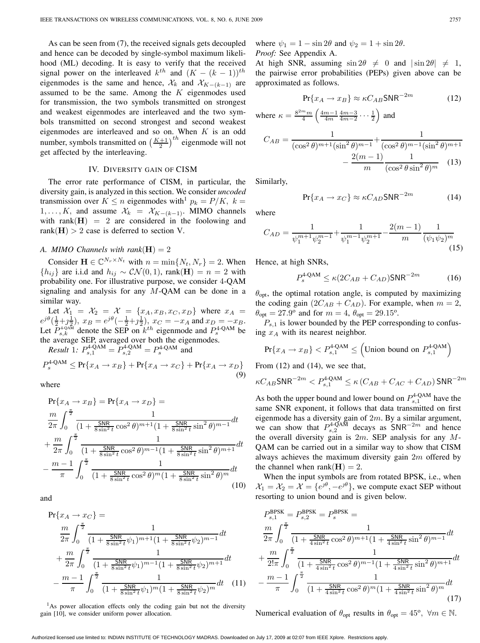As can be seen from (7), the received signals gets decoupled and hence can be decoded by single-symbol maximum likelihood (ML) decoding. It is easy to verify that the received signal power on the interleaved  $k^{th}$  and  $(K - (k - 1))$ <sup>th</sup> eigenmodes is the same and hence,  $\mathcal{X}_k$  and  $\mathcal{X}_{K-(k-1)}$  are assumed to be the same. Among the  $K$  eigenmodes used for transmission, the two symbols transmitted on strongest and weakest eigenmodes are interleaved and the two symbols transmitted on second strongest and second weakest eigenmodes are interleaved and so on. When  $K$  is an odd number, symbols transmitted on  $\left(\frac{K+1}{2}\right)^{th}$  eigenmode will not get affected by the interleaving.

#### IV. DIVERSITY GAIN OF CISM

The error rate performance of CISM, in particular, the diversity gain, is analyzed in this section. We consider *uncoded* transmission over  $K \le n$  eigenmodes with<sup>1</sup>  $p_k = P/K$ ,  $k =$ 1, ..., K, and assume  $\mathcal{X}_k = \mathcal{X}_{K-(k-1)}$ . MIMO channels with rank $(H) = 2$  are considered in the foolowing and rank( $H$ ) > 2 case is deferred to section V.

#### *A. MIMO Channels with rank* $(H) = 2$

Consider  $\mathbf{H} \in \mathbb{C}^{N_r \times N_t}$  with  $n = \min\{N_t, N_r\} = 2$ . When { $h_{ij}$ } are i.i.d and  $h_{ij}$  ~  $\mathcal{CN}(0,1)$ , rank(**H**) =  $n = 2$  with probability one. For illustrative purpose, we consider 4-QAM signaling and analysis for any  $M$ -QAM can be done in a similar way.

Let  $X_1 = X_2 = X = \{x_A, x_B, x_C, x_D\}$  where  $x_A =$ <br> $\frac{\partial (1+a)}{\partial x_B}$ ,  $x_B = e^{j\theta}(-1+a^{\frac{1}{2}})$ ,  $x_B = -x_A$  and  $x_B = -x_B$  $e^{j\theta}(\frac{1}{2}+j\frac{1}{2})$ ,  $x_B = e^{j\theta}(-\frac{1}{2}+j\frac{1}{2})$ ,  $x_C = -x_A$  and  $x_D = -x_B$ .<br>Let  $P_{s,k}^{4-\text{QAM}}$  denote the SEP on  $k^{th}$  eigenmode and  $P_s^{4-\text{QAM}}$  be the average SEP, averaged over both the eigenmodes.

*Result* 1*:*  $P_{s,1}^{4\textrm{-QAM}} = P_{s,2}^{4\textrm{-QAM}} = P_s^{4\textrm{-QAM}}$  and

$$
P_s^{4\text{-QAM}} \le \Pr\{x_A \to x_B\} + \Pr\{x_A \to x_C\} + \Pr\{x_A \to x_D\}
$$
\n<sup>(9)</sup>

where

$$
\Pr\{x_A \to x_B\} = \Pr\{x_A \to x_D\} =
$$
\n
$$
\frac{m}{2\pi} \int_0^{\frac{\pi}{2}} \frac{1}{(1 + \frac{\text{SNR}}{\text{S} \sin^2 t} \cos^2 \theta)^{m+1} (1 + \frac{\text{SNR}}{\text{S} \sin^2 t} \sin^2 \theta)^{m-1}} dt
$$
\n
$$
+ \frac{m}{2\pi} \int_0^{\frac{\pi}{2}} \frac{1}{(1 + \frac{\text{SNR}}{\text{S} \sin^2 t} \cos^2 \theta)^{m-1} (1 + \frac{\text{SNR}}{\text{S} \sin^2 t} \sin^2 \theta)^{m+1}} dt
$$
\n
$$
- \frac{m - 1}{\pi} \int_0^{\frac{\pi}{2}} \frac{1}{(1 + \frac{\text{SNR}}{\text{S} \sin^2 t} \cos^2 \theta)^m (1 + \frac{\text{SNR}}{\text{S} \sin^2 t} \sin^2 \theta)^m} dt
$$
\n(10)

and

$$
Pr\{x_A \to x_C\} = \frac{m}{2\pi} \int_0^{\frac{\pi}{2}} \frac{1}{(1 + \frac{SNR}{8\sin^2 t}\psi_1)^{m+1}(1 + \frac{SNR}{8\sin^2 t}\psi_2)^{m-1}} dt + \frac{m}{2\pi} \int_0^{\frac{\pi}{2}} \frac{1}{(1 + \frac{SNR}{8\sin^2 t}\psi_1)^{m-1}(1 + \frac{SNR}{8\sin^2 t}\psi_2)^{m+1}} dt - \frac{m - 1}{\pi} \int_0^{\frac{\pi}{2}} \frac{1}{(1 + \frac{SNR}{8\sin^2 t}\psi_1)^m(1 + \frac{SNR}{8\sin^2 t}\psi_2)^m} dt \quad (11)
$$

<sup>1</sup>As power allocation effects only the coding gain but not the diversity gain [10], we consider uniform power allocation.

where  $\psi_1 = 1 - \sin 2\theta$  and  $\psi_2 = 1 + \sin 2\theta$ . *Proof:* See Appendix A.

At high SNR, assuming  $\sin 2\theta \neq 0$  and  $|\sin 2\theta| \neq 1$ , the pairwise error probabilities (PEPs) given above can be approximated as follows.

$$
Pr{x_A \to x_B} \approx \kappa C_{AB} SNR^{-2m}
$$
 (12)

where 
$$
\kappa = \frac{8^{2m}m}{4} \left( \frac{4m-1}{4m} \frac{4m-3}{4m-2} \cdots \frac{1}{2} \right)
$$
 and  
\n
$$
C_{AB} = \frac{1}{(\cos^2 \theta)^{m+1} (\sin^2 \theta)^{m-1}} + \frac{1}{(\cos^2 \theta)^{m-1} (\sin^2 \theta)^{m+1}} - \frac{2(m-1)}{m} \frac{1}{(\cos^2 \theta \sin^2 \theta)^m}
$$
(13)

Similarly,

$$
Pr\{x_A \to x_C\} \approx \kappa C_{AD} SNR^{-2m} \tag{14}
$$

where

$$
C_{AD} = \frac{1}{\psi_1^{m+1}\psi_2^{m-1}} + \frac{1}{\psi_1^{m-1}\psi_2^{m+1}} - \frac{2(m-1)}{m} \frac{1}{(\psi_1\psi_2)^m}
$$
(15)

Hence, at high SNRs,

$$
P_s^{4\text{-QAM}} \le \kappa (2C_{AB} + C_{AD})\text{SNR}^{-2m} \tag{16}
$$

 $\theta_{\text{opt}}$ , the optimal rotation angle, is computed by maximizing the coding gain  $(2C_{AB} + C_{AD})$ . For example, when  $m = 2$ ,  $\theta_{\rm opt} = 27.9^{\circ}$  and for  $m = 4$ ,  $\theta_{\rm opt} = 29.15^{\circ}$ .

 $P_{s,1}$  is lower bounded by the PEP corresponding to confusing  $x_A$  with its nearest neighbor.

$$
\Pr\{x_A \to x_B\} < P_{s,1}^{4\text{-QAM}} \le \left(\text{Union bound on } P_{s,1}^{4\text{-QAM}}\right)
$$

From (12) and (14), we see that,

$$
\kappa C_{AB} \mathsf{SNR}^{-2m} < P_{s,1}^{4\text{-QAM}} \le \kappa \left( C_{AB} + C_{AC} + C_{AD} \right) \mathsf{SNR}^{-2m}
$$

As both the upper bound and lower bound on  $P_{s,1}^{4\text{-QAM}}$  have the same SNR exponent, it follows that data transmitted on first eigenmode has a diversity gain of 2m. By a similar argument, we can show that  $P_{s,2}^{4-\text{QAM}}$  decays as SNR<sup>-2m</sup> and hence the overall diversity gain is  $2m$ . SEP analysis for any  $M$ -QAM can be carried out in a similar way to show that CISM always achieves the maximum diversity gain  $2m$  offered by the channel when rank $(H)=2$ .

When the input symbols are from rotated BPSK, i.e., when  $\mathcal{X}_1 = \mathcal{X}_2 = \mathcal{X} = \{e^{j\theta}, -e^{j\theta}\}\$ , we compute exact SEP without resorting to union bound and is given below.

$$
P_{s,1}^{\text{BPSK}} = P_{s,2}^{\text{BPSK}} = P_{s}^{\text{BPSK}} =
$$
  
\n
$$
\frac{m}{2\pi} \int_{0}^{\frac{\pi}{2}} \frac{1}{(1 + \frac{\text{SNR}}{4\sin^{2}t} \cos^{2}\theta)^{m+1} (1 + \frac{\text{SNR}}{4\sin^{2}t} \sin^{2}\theta)^{m-1}} dt + \frac{m}{2!\pi} \int_{0}^{\frac{\pi}{2}} \frac{1}{(1 + \frac{\text{SNR}}{4\sin^{2}t} \cos^{2}\theta)^{m-1} (1 + \frac{\text{SNR}}{4\sin^{2}t} \sin^{2}\theta)^{m+1}} dt - \frac{m-1}{\pi} \int_{0}^{\frac{\pi}{2}} \frac{1}{(1 + \frac{\text{SNR}}{4\sin^{2}t} \cos^{2}\theta)^{m} (1 + \frac{\text{SNR}}{4\sin^{2}t} \sin^{2}\theta)^{m}} dt
$$
\n(17)

Numerical evaluation of  $\theta_{opt}$  results in  $\theta_{opt} = 45^{\circ}, \forall m \in \mathbb{N}$ .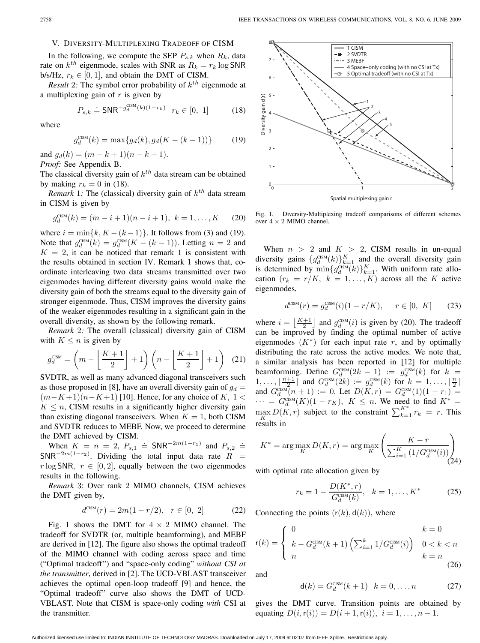#### V. DIVERSITY-MULTIPLEXING TRADEOFF OF CISM

In the following, we compute the SEP  $P_{s,k}$  when  $R_k$ , data rate on  $k^{th}$  eigenmode, scales with SNR as  $R_k = r_k \log SNR$ b/s/Hz,  $r_k \in [0, 1]$ , and obtain the DMT of CISM.

*Result* 2*:* The symbol error probability of  $k^{th}$  eigenmode at a multiplexing gain of  $r$  is given by

$$
P_{s,k} \doteq \text{SNR}^{-g_d^{\text{CSM}}(k)(1-r_k)} \ r_k \in [0, 1] \tag{18}
$$

where

$$
g_d^{\text{CSM}}(k) = \max\{g_d(k), g_d(K - (k - 1))\} \tag{19}
$$

and  $g_d(k)=(m - k + 1)(n - k + 1)$ . *Proof:* See Appendix B.

The classical diversity gain of  $k^{th}$  data stream can be obtained by making  $r_k = 0$  in (18).

*Remark* 1: The (classical) diversity gain of  $k^{th}$  data stream in CISM is given by

$$
g_d^{\text{CSM}}(k) = (m - i + 1)(n - i + 1), \ k = 1, ..., K \qquad (20)
$$

where  $i = \min\{k, K - (k-1)\}\$ . It follows from (3) and (19). Note that  $g_G^{\text{CSM}}(k) = g_d^{\text{CSM}}(K - (k-1))$ . Letting  $n = 2$  and  $K = 2$  it can be noticed that remark 1 is consistent with  $K = 2$ , it can be noticed that remark 1 is consistent with the results obtained in section IV. Remark 1 shows that, coordinate interleaving two data streams transmitted over two eigenmodes having different diversity gains would make the diversity gain of both the streams equal to the diversity gain of stronger eigenmode. Thus, CISM improves the diversity gains of the weaker eigenmodes resulting in a significant gain in the overall diversity, as shown by the following remark.

*Remark* 2*:* The overall (classical) diversity gain of CISM with  $K \leq n$  is given by

$$
g_d^{\text{CSM}} = \left(m - \left\lfloor \frac{K+1}{2} \right\rfloor + 1\right) \left(n - \left\lfloor \frac{K+1}{2} \right\rfloor + 1\right) (21)
$$

SVDTR, as well as many advanced diagonal transceivers such as those proposed in [8], have an overall diversity gain of  $g_d =$  $(m-K+1)(n-K+1)$ [10]. Hence, for any choice of K, 1 <  $K \leq n$ , CISM results in a significantly higher diversity gain than existing diagonal transceivers. When  $K = 1$ , both CISM and SVDTR reduces to MEBF. Now, we proceed to determine the DMT achieved by CISM.

When  $K = n = 2$ ,  $P_{s,1} \doteq \textsf{SNR}^{-2m(1-r_1)}$  and  $P_{s,2} \doteq \textsf{IP}^{-2m(1-r_2)}$ . Dividing the total input data rate  $R =$  $SNR^{-2m(1-r_2)}$ . Dividing the total input data rate  $R =$ <br>r log SNR  $r \in [0, 2]$  equally between the two eigenmodes  $r \log SNR$ ,  $r \in [0, 2]$ , equally between the two eigenmodes results in the following.

*Remark* 3: Over rank 2 MIMO channels, CISM achieves the DMT given by,

$$
d^{\text{CISM}}(r) = 2m(1 - r/2), \quad r \in [0, 2] \tag{22}
$$

Fig. 1 shows the DMT for  $4 \times 2$  MIMO channel. The tradeoff for SVDTR (or, multiple beamforming), and MEBF are derived in [12]. The figure also shows the optimal tradeoff of the MIMO channel with coding across space and time ("Optimal tradeoff") and "space-only coding" *without CSI at the transmitter*, derived in [2]. The UCD-VBLAST transceiver achieves the optimal open-loop tradeoff [9] and hence, the "Optimal tradeoff" curve also shows the DMT of UCD-VBLAST. Note that CISM is space-only coding *with* CSI at the transmitter.



Fig. 1. Diversity-Multiplexing tradeoff comparisons of different schemes over  $4 \times 2$  MIMO channel.

When  $n > 2$  and  $K > 2$ , CISM results in un-equal<br>diversity gains  $\{g_d^{\text{CSM}}(k)\}_{k=1}^K$  and the overall diversity gain<br>is determined by  $\min_{\theta} \{g_d^{\text{CSM}}(k)\}_{k=1}^K$  with uniform rate allois determined by  $\min\{g_{\text{d}}^{\text{GSM}}(k)\}_{k=1}^K$ . With uniform rate allo-<br>cation  $(r_k) = r/K - 1$ . K) across all the K active cation  $(r_k = r/K, k = 1, ..., K)$  across all the K active eigenmodes,

$$
d^{\text{CSM}}(r) = g_d^{\text{CSM}}(i)(1 - r/K), \quad r \in [0, K] \tag{23}
$$

where  $i = \lfloor \frac{K+1}{2} \rfloor$  and  $g_d^{\text{GSM}}(i)$  is given by (20). The tradeoff can be improved by finding the optimal number of active eigenmodes  $(K^*)$  for each input rate r, and by optimally distributing the rate across the active modes. We note that, a similar analysis has been reported in [12] for multiple beamforming. Define  $G_d^{\text{CSM}}(2k-1) := g_d^{\text{CSM}}(k)$  for  $k =$ <br>1  $\frac{n+1}{2}$  and  $G_{\text{CSM}}(k) := g_d^{\text{CSM}}(k)$  for  $k = 1$   $\frac{n}{2}$ 1,...,  $\lfloor \frac{n+1}{2} \rfloor$  and  $G_{d}^{\text{CSM}}(2k) := g_{d}^{\text{CSM}}(k)$  for  $k = 1, ..., \lfloor \frac{n}{2} \rfloor$ <br>and  $G^{\text{CSM}}(n+1) := 0$  Let  $D(K, n) = G^{\text{CSM}}(1)(1 - x)$ and  $G_{\text{d}}^{\text{CSM}}(n+1) := 0$ . Let  $D(K,r) = G_{\text{d}}^{\text{CSM}}(1)(1 - r_1) =$ <br> $\cdots = G_{\text{CSM}}(K)(1 - r_K)$ .  $K \leq n$ . We need to find  $K^*$ .  $\cdots = G_{\text{d}}^{\text{CSM}}(K)(1 - r_K), K \leq n$ . We need to find  $K^* =$ <br>may  $D(K, r)$  subject to the constraint  $\sum^{K^*} r_k = r_k$ . This  $\frac{K}{K}$  results in  $D(K,r)$  subject to the constraint  $\sum_{k=1}^{K^*} r_k = r$ . This

$$
K^* = \arg\max_{K} D(K, r) = \arg\max_{K} \left( \frac{K - r}{\sum_{i=1}^{K} \left( 1/G_d^{\text{CSM}}(i) \right)} \right)
$$
(24)

with optimal rate allocation given by

$$
r_k = 1 - \frac{D(K^*, r)}{G_d^{\text{CSM}}(k)}, \quad k = 1, \dots, K^*
$$
 (25)

Connecting the points  $(r(k), d(k))$ , where

$$
\mathsf{r}(k) = \begin{cases} 0 & k = 0\\ k - G_d^{\text{CSM}}(k+1) \left( \sum_{i=1}^k 1/G_d^{\text{CSM}}(i) \right) & 0 < k < n\\ n & k = n \end{cases}
$$
(26)

and

$$
d(k) = G_d^{\text{CSM}}(k+1) \quad k = 0, ..., n \tag{27}
$$

gives the DMT curve. Transition points are obtained by equating  $D(i, r(i)) = D(i + 1, r(i)), i = 1, ..., n - 1.$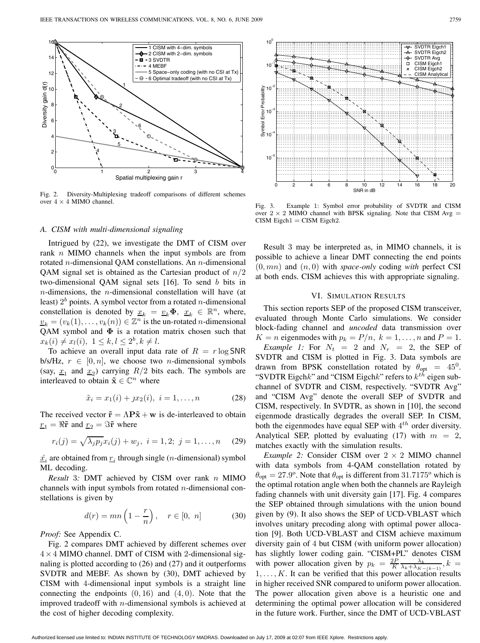

Fig. 2. Diversity-Multiplexing tradeoff comparisons of different schemes over  $4 \times 4$  MIMO channel.

#### *A. CISM with multi-dimensional signaling*

Intrigued by (22), we investigate the DMT of CISM over rank n MIMO channels when the input symbols are from rotated n-dimensional QAM constellations. An n-dimensional QAM signal set is obtained as the Cartesian product of  $n/2$ two-dimensional QAM signal sets [16]. To send b bits in  $n$ -dimensions, the  $n$ -dimensional constellation will have (at least)  $2<sup>b</sup>$  points. A symbol vector from a rotated *n*-dimensional constellation is denoted by  $\underline{x}_k = \underline{v}_k \Phi, \underline{x}_k \in \mathbb{R}^n$ , where,  $v_k = (v_k(1), \ldots, v_k(n)) \in \mathbb{Z}^n$  is the un-rotated *n*-dimensional QAM symbol and **Φ** is a rotation matrix chosen such that  $x_k(i) \neq x_l(i), \ 1 \leq k, l \leq 2^b, k \neq l.$ 

To achieve an overall input data rate of  $R = r \log SNR$ b/s/Hz,  $r \in [0, n]$ , we choose two *n*-dimensional symbols (say,  $x_1$  and  $x_2$ ) carrying  $R/2$  bits each. The symbols are interleaved to obtain  $\tilde{\mathbf{x}} \in \mathbb{C}^n$  where

$$
\tilde{x}_i = x_1(i) + jx_2(i), \ i = 1, \dots, n \tag{28}
$$

The received vector  $\tilde{\mathbf{r}} = \Lambda \mathbf{P} \tilde{\mathbf{x}} + \mathbf{w}$  is de-interleaved to obtain  $r_1 = \Re \tilde{r}$  and  $r_2 = \Im \tilde{r}$  where

$$
r_i(j) = \sqrt{\lambda_j p_j} x_i(j) + w_j, \ i = 1, 2; \ j = 1, \dots, n \quad (29)
$$

 $\hat{x}_i$  are obtained from  $r_i$  through single (*n*-dimensional) symbol ML decoding.

*Result* 3*:* DMT achieved by CISM over rank <sup>n</sup> MIMO channels with input symbols from rotated  $n$ -dimensional constellations is given by

$$
d(r) = mn\left(1 - \frac{r}{n}\right), \quad r \in [0, n] \tag{30}
$$

*Proof:* See Appendix C.

Fig. 2 compares DMT achieved by different schemes over  $4 \times 4$  MIMO channel. DMT of CISM with 2-dimensional signaling is plotted according to (26) and (27) and it outperforms SVDTR and MEBF. As shown by (30), DMT achieved by CISM with 4-dimensional input symbols is a straight line connecting the endpoints  $(0, 16)$  and  $(4, 0)$ . Note that the improved tradeoff with  $n$ -dimensional symbols is achieved at the cost of higher decoding complexity.



Fig. 3. Example 1: Symbol error probability of SVDTR and CISM over  $2 \times 2$  MIMO channel with BPSK signaling. Note that CISM Avg =  $CISM$  Eigch $1 = CISM$  Eigch $2$ .

Result 3 may be interpreted as, in MIMO channels, it is possible to achieve a linear DMT connecting the end points  $(0, mn)$  and  $(n, 0)$  with *space-only* coding *with* perfect CSI at both ends. CISM achieves this with appropriate signaling.

#### VI. SIMULATION RESULTS

This section reports SEP of the proposed CISM transceiver, evaluated through Monte Carlo simulations. We consider block-fading channel and *uncoded* data transmission over  $K = n$  eigenmodes with  $p_k = P/n$ ,  $k = 1, ..., n$  and  $P = 1$ .

*Example 1:* For  $N_t = 2$  and  $N_r = 2$ , the SEP of SVDTR and CISM is plotted in Fig. 3. Data symbols are drawn from BPSK constellation rotated by  $\theta_{\text{opt}} = 45^{\circ}$ . "SVDTR Eigch $k$ " and "CISM Eigch $k$ " refers to  $k^{th}$  eigen subchannel of SVDTR and CISM, respectively. "SVDTR Avg" and "CISM Avg" denote the overall SEP of SVDTR and CISM, respectively. In SVDTR, as shown in [10], the second eigenmode drastically degrades the overall SEP. In CISM, both the eigenmodes have equal SEP with  $4<sup>th</sup>$  order diversity. Analytical SEP, plotted by evaluating (17) with  $m = 2$ , matches exactly with the simulation results.

*Example 2:* Consider CISM over  $2 \times 2$  MIMO channel with data symbols from 4-QAM constellation rotated by  $\theta_{opt} = 27.9^{\circ}$ . Note that  $\theta_{opt}$  is different from 31.7175° which is the optimal rotation angle when both the channels are Rayleigh fading channels with unit diversity gain [17]. Fig. 4 compares the SEP obtained through simulations with the union bound given by (9). It also shows the SEP of UCD-VBLAST which involves unitary precoding along with optimal power allocation [9]. Both UCD-VBLAST and CISM achieve maximum diversity gain of 4 but CISM (with uniform power allocation) has slightly lower coding gain. "CISM+PL" denotes CISM with power allocation given by  $p_k = \frac{2P}{K} \frac{\lambda_k}{\lambda_k + \lambda_{K-(k-1)}}$ ,  $k = 1$ ,  $K$ , It can be verified that this power allocation results  $1, \ldots, K$ . It can be verified that this power allocation results in higher received SNR compared to uniform power allocation. The power allocation given above is a heuristic one and determining the optimal power allocation will be considered in the future work. Further, since the DMT of UCD-VBLAST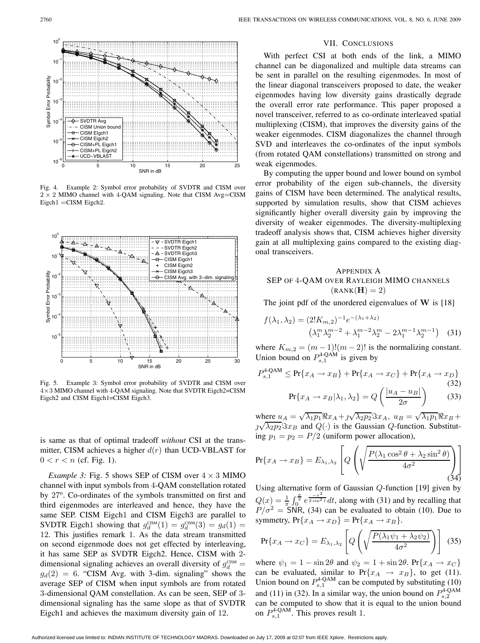

Fig. 4. Example 2: Symbol error probability of SVDTR and CISM over  $2 \times 2$  MIMO channel with 4-QAM signaling. Note that CISM Avg=CISM Eigch1 =CISM Eigch2.



Fig. 5. Example 3: Symbol error probability of SVDTR and CISM over 4×3 MIMO channel with 4-QAM signaling. Note that SVDTR Eigch2=CISM Eigch2 and CISM Eigch1=CISM Eigch3.

is same as that of optimal tradeoff *without* CSI at the transmitter, CISM achieves a higher  $d(r)$  than UCD-VBLAST for  $0 < r < n$  (cf. Fig. 1).

*Example 3:* Fig. 5 shows SEP of CISM over  $4 \times 3$  MIMO channel with input symbols from 4-QAM constellation rotated by 27<sup>o</sup>. Co-ordinates of the symbols transmitted on first and third eigenmodes are interleaved and hence, they have the same SEP. CISM Eigch1 and CISM Eigch3 are parallel to SVDTR Eigch1 showing that  $g_d^{\text{CSM}}(1) = g_d^{\text{CSM}}(3) = g_d(1) =$ <br>12. This justifies remark 1. As the data stream transmitted 12. This justifies remark 1. As the data stream transmitted on second eigenmode does not get effected by interleaving, it has same SEP as SVDTR Eigch2. Hence, CISM with 2 dimensional signaling achieves an overall diversity of  $g_d^{\text{CSM}} =$ differentiational signaling activity at overall diversity of  $g_d =$ <br> $g_d(2) = 6$ . "CISM Avg. with 3-dim. signaling" shows the average SEP of CISM when input symbols are from rotated 3-dimensional QAM constellation. As can be seen, SEP of 3 dimensional signaling has the same slope as that of SVDTR Eigch1 and achieves the maximum diversity gain of 12.

#### VII. CONCLUSIONS

With perfect CSI at both ends of the link, a MIMO channel can be diagonalized and multiple data streams can be sent in parallel on the resulting eigenmodes. In most of the linear diagonal transceivers proposed to date, the weaker eigenmodes having low diversity gains drastically degrade the overall error rate performance. This paper proposed a novel transceiver, referred to as co-ordinate interleaved spatial multiplexing (CISM), that improves the diversity gains of the weaker eigenmodes. CISM diagonalizes the channel through SVD and interleaves the co-ordinates of the input symbols (from rotated QAM constellations) transmitted on strong and weak eigenmodes.

By computing the upper bound and lower bound on symbol error probability of the eigen sub-channels, the diversity gains of CISM have been determined. The analytical results, supported by simulation results, show that CISM achieves significantly higher overall diversity gain by improving the diversity of weaker eigenmodes. The diversity-multiplexing tradeoff analysis shows that, CISM achieves higher diversity gain at all multiplexing gains compared to the existing diagonal transceivers.

### APPENDIX A SEP OF <sup>4</sup>-QAM OVER RAYLEIGH MIMO CHANNELS  $(RANK(**H**) = 2)$

The joint pdf of the unordered eigenvalues of **W** is [18]

$$
f(\lambda_1, \lambda_2) = (2!K_{m,2})^{-1} e^{-(\lambda_1 + \lambda_2)} (\lambda_1^m \lambda_2^{m-2} + \lambda_1^{m-2} \lambda_2^m - 2\lambda_1^{m-1} \lambda_2^{m-1})
$$
 (31)

where  $K_{m,2} = (m-1)!(m-2)!$  is the normalizing constant.<br>Union bound on  $P_{s,1}^{4 \text{QAM}}$  is given by

$$
P_{s,1}^{4\text{-QAM}} \le \Pr\{x_A \to x_B\} + \Pr\{x_A \to x_C\} + \Pr\{x_A \to x_D\}
$$
\n(32)\n  
\n
$$
\Pr\{x_A \to x_B|\lambda_1, \lambda_2\} = Q\left(\frac{|u_A - u_B|}{2\sigma}\right)
$$
\n(33)

where  $u_A = \sqrt{\lambda_1 p_1} \Re x_A + \jmath \sqrt{\lambda_2 p_2} \Im x_A$ ,  $u_B = \sqrt{\lambda_1 p_1} \Re x_B + \lambda_2 \sqrt{\lambda_2 p_2} \Im x_A$ ,  $u_B = \sqrt{\lambda_1 p_1} \Re x_B + \lambda_3 \sqrt{\lambda_2 p_2} \Im x_A$ where  $u_A - \sqrt{\lambda_1 p_1} \lambda x_A + \sqrt{\lambda_2 p_2} \lambda x_A$ ,  $u_B - \sqrt{\lambda_1 p_1} \lambda x_B + \sqrt{\lambda_2 p_2} \lambda x_B$  and  $Q(\cdot)$  is the Gaussian *Q*-function. Substitution  $n_x - n_2 - P/2$  (uniform power allocation) ing  $p_1 = p_2 = P/2$  (uniform power allocation),

$$
Pr{x_A \to x_B} = E_{\lambda_1, \lambda_2} \left[ Q \left( \sqrt{\frac{P(\lambda_1 \cos^2 \theta + \lambda_2 \sin^2 \theta)}{4\sigma^2}} \right) \right]
$$
(34)

Using alternative form of Gaussian Q-function [19] given by  $Q(x) = \frac{1}{\pi} \int_0^{\frac{\pi}{2}} e^{\frac{-x^2}{2 \sin^2 t}} dt$ , along with (31) and by recalling that  $P/\sigma^2$  – SNR (34) can be evaluated to obtain (10). Due to  $P/\sigma^2 =$  SNR, (34) can be evaluated to obtain (10). Due to<br>symmetry  $Pr\{x_i \to x_0\} = Pr\{x_i \to x_0\}$ symmetry,  $Pr\{x_A \rightarrow x_D\} = Pr\{x_A \rightarrow x_B\}.$ 

$$
\Pr\{x_A \to x_C\} = E_{\lambda_1, \lambda_2} \left[ Q \left( \sqrt{\frac{P(\lambda_1 \psi_1 + \lambda_2 \psi_2)}{4\sigma^2}} \right) \right] \tag{35}
$$

where  $\psi_1 = 1 - \sin 2\theta$  and  $\psi_2 = 1 + \sin 2\theta$ . Pr $\{x_A \to x_C\}$ can be evaluated, similar to  $Pr\{x_A \rightarrow x_B\}$ , to get (11). Union bound on  $P_{s,1}^{4\text{-QAM}}$  can be computed by substituting (10) and (11) in (32). In a similar way, the union bound on  $P_{s,2}^{4\textrm{-QAM}}$ can be computed to show that it is equal to the union bound on  $P_{s,1}^{4\text{-QAM}}$ . This proves result 1.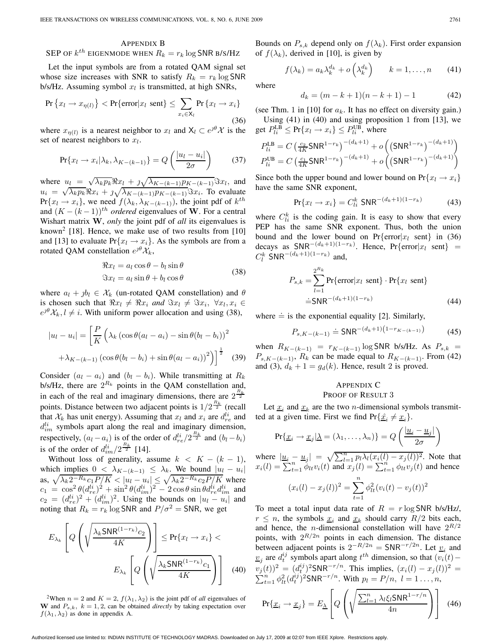#### APPENDIX B

## SEP OF  $k^{th}$  eigenmode when  $R_k = r_k \log \textsf{SNR}$  b/s/Hz

Let the input symbols are from a rotated QAM signal set whose size increases with SNR to satisfy  $R_k = r_k \log SNR$  $b/s/Hz$ . Assuming symbol  $x_l$  is transmitted, at high SNRs,

$$
\Pr\left\{x_l \to x_{\eta(l)}\right\} < \Pr\{\text{error}|x_l \text{ sent}\} \le \sum_{x_i \in \mathsf{X}_l} \Pr\left\{x_l \to x_i\right\} \tag{36}
$$

where  $x_{\eta(l)}$  is a nearest neighbor to  $x_l$  and  $X_l \subset e^{j\theta} \mathcal{X}$  is the set of nearest neighbors to  $x_l$ .

$$
\Pr\{x_l \to x_i | \lambda_k, \lambda_{K-(k-1)}\} = Q\left(\frac{|u_l - u_i|}{2\sigma}\right) \tag{37}
$$

where  $u_l = \sqrt{\lambda_k p_k} \Re x_l + \sqrt{\lambda_{K-(k-1)} p_{K-(k-1)}} \Im x_l$ , and<br> $u_l = \sqrt{\lambda_k p_{K-}(k-1)} \Im x_{l-1} + \sqrt{\lambda_{K-(k-1)} p_{K-}(k-1)} \Im x_l$ , and where  $u_l = \sqrt{\lambda_k p_k} \Re x_l + \frac{1}{\sqrt{\lambda_{K-}(k-1)p_{K-}(k-1)}} \Im x_l$ . To evaluate<br>  $v_l = \sqrt{\lambda_k p_k} \Re x_l + \frac{1}{\sqrt{\lambda_{K-}(k-1)p_{K-}(k-1)}} \Im x_l$ . To evaluate  $Pr{x_l \rightarrow x_i}$ , we need  $f(\lambda_k, \lambda_{K-(k-1)})$ , the joint pdf of  $k^{th}$ and  $(K - (k-1))$ <sup>th</sup> ordered eigenvalues of **W**. For a central Wishart matrix **W**, *only* the joint pdf of *all* its eigenvalues is known<sup>2</sup> [18]. Hence, we make use of two results from [10] and [13] to evaluate  $Pr\{x_l \rightarrow x_i\}$ . As the symbols are from a rotated QAM constellation  $e^{j\theta} \mathcal{X}_k$ ,

$$
\Re x_l = a_l \cos \theta - b_l \sin \theta
$$
  

$$
\Im x_l = a_l \sin \theta + b_l \cos \theta
$$
 (38)

where  $a_l + jb_l \in \mathcal{X}_k$  (un-rotated QAM constellation) and  $\theta$ is chosen such that  $\Re x_l \neq \Re x_i$  and  $\Im x_l \neq \Im x_i$ ,  $\forall x_l, x_i \in$ <br> $\epsilon^{j\theta}$  X,  $l \neq i$  With uniform power allocation and using (38)  $e^{j\theta} \mathcal{X}_k, l \neq i$ . With uniform power allocation and using (38),

$$
|u_l - u_i| = \left[\frac{P}{K}\left(\lambda_k \left(\cos\theta(a_l - a_i) - \sin\theta(b_l - b_i)\right)^2 + \lambda_{K-(k-1)}\left(\cos\theta(b_l - b_i) + \sin\theta(a_l - a_i)\right)^2\right)\right]^{\frac{1}{2}}
$$
(39)

Consider  $(a_l - a_i)$  and  $(b_l - b_i)$ . While transmitting at  $R_k$ b/s/Hz, there are  $2^{R_k}$  points in the QAM constellation and, in each of the real and imaginary dimensions, there are  $2^{\frac{R_k}{2}}$ points. Distance between two adjacent points is  $1/2^{\frac{R_k}{2}}$  (recall<br>that  $\mathcal{X}_k$  has unit energy). Assuming that  $x_k$  and  $x_k$  are  $d^{li}$  and that  $\mathcal{X}_k$  has unit energy). Assuming that  $x_l$  and  $x_i$  are  $d_{re}^{li}$  and  $d_{im}^{li}$  symbols apart along the real and imaginary dimension, respectively,  $(a_l - a_i)$  is of the order of  $d_{re}^{li}/2^{\frac{R_k}{2}}$  and  $(b_l - b_i)$ is of the order of  $d_{im}^{li}/2^{\frac{R_k}{2}}$  [14].

Without loss of generality, assume  $k < K - (k - 1)$ , which implies  $0 < \lambda_{K-(k-1)} \leq \lambda_k$ . We bound  $|u_l - u_i|$ as,  $\sqrt{\lambda_k 2^{-R_k} c_1 P/K} < |u_l - u_i| \leq \sqrt{\lambda_k 2^{-R_k} c_2 P/K}$  where  $c_1 = \cos^2 \theta (d_{re}^{li})^2 + \sin^2 \theta (d_{im}^{li})^2 - 2 \cos \theta \sin \theta d_{re}^{li} d_{im}^{li}$  and<br> $c_2 = (d^{li})^2 + (d^{li})^2$ . Using the bounds on  $|u_1 - u_2|$  and  $c_2 = (d_{re}^{li})^2 + (d_{im}^{li})^2$ . Using the bounds on  $|u_l - u_i|$  and point that  $R_i = r_i \log SNR$  and  $P/\sigma^2 = SNR$  we get noting that  $R_k = r_k \log SNR$  and  $P/\sigma^2 = SNR$ , we get

$$
E_{\lambda_k} \left[ Q \left( \sqrt{\frac{\lambda_k \text{SNR}^{(1-r_k)} c_2}{4K}} \right) \right] \le \Pr\{x_l \to x_i\} <
$$

$$
E_{\lambda_k} \left[ Q \left( \sqrt{\frac{\lambda_k \text{SNR}^{(1-r_k)} c_1}{4K}} \right) \right] \quad (40)
$$

<sup>2</sup>When  $n = 2$  and  $K = 2$ ,  $f(\lambda_1, \lambda_2)$  is the joint pdf of *all* eigenvalues of **W** and  $P_{s,k}$ ,  $k = 1, 2$ , can be obtained *directly* by taking expectation over  $f(\lambda_1, \lambda_2)$  as done in appendix A.

Bounds on  $P_{s,k}$  depend only on  $f(\lambda_k)$ . First order expansion of  $f(\lambda_k)$ , derived in [10], is given by

$$
f(\lambda_k) = a_k \lambda_k^{d_k} + o\left(\lambda_k^{d_k}\right) \qquad k = 1, \dots, n \qquad (41)
$$

where

$$
d_k = (m - k + 1)(n - k + 1) - 1 \tag{42}
$$

(see Thm. 1 in [10] for  $a_k$ . It has no effect on diversity gain.) Using  $(41)$  in  $(40)$  and using proposition 1 from [13], we get  $P_{li}^{\text{LB}} \leq \Pr\{x_l \to x_i\} \leq P_{li}^{\text{UB}}$ , where

$$
P_{li}^{\text{LB}} = C \left( \frac{c_2}{4K} \text{SNR}^{1-r_k} \right)^{-(d_k+1)} + o \left( \left( \text{SNR}^{1-r_k} \right)^{-(d_k+1)} \right)
$$
  

$$
P_{li}^{\text{UB}} = C \left( \frac{c_1}{4K} \text{SNR}^{1-r_k} \right)^{-(d_k+1)} + o \left( \left( \text{SNR}^{1-r_k} \right)^{-(d_k+1)} \right)
$$

Since both the upper bound and lower bound on  $Pr\{x_l \rightarrow x_i\}$ have the same SNR exponent,

$$
Pr{x_l \to x_i} = C_{li}^k SNR^{-(d_k+1)(1-r_k)}
$$
(43)

where  $C_{li}^{k}$  is the coding gain. It is easy to show that every PEP has the same SNR exponent. Thus, both the union bound and the lower bound on  $Pr\{error|x_l \text{ sent}\}\$ in (36) decays as  $SNR^{-(d_k+1)(1-r_k)}$ . Hence,  $Pr\{\text{error}|x_l \text{ sent}\}$  =  $C^k SNR^{-(d_k+1)(1-r_k)}$  and  $C_l^k$  SNR<sup>-(d<sub>k</sub>+1)(1-r<sub>k</sub>)</sup> and,

$$
P_{s,k} = \sum_{l=1}^{2^{R_k}} \Pr\{\text{error}|x_l \text{ sent}\} \cdot \Pr\{x_l \text{ sent}\}
$$
  
=SNR<sup>-(d\_k+1)(1-r\_k)</sup> (44)

where  $\dot{=}$  is the exponential equality [2]. Similarly,

$$
P_{s,K-(k-1)} \doteq \text{SNR}^{-(d_k+1)\left(1-r_{K-(k-1)}\right)} \tag{45}
$$

when  $R_{K-(k-1)} = r_{K-(k-1)} \log SNR$  b/s/Hz. As  $P_{s,k}$  =  $P_{s,K-(k-1)}$ ,  $R_k$  can be made equal to  $R_{K-(k-1)}$ . From (42) and (3),  $d_k + 1 = g_d(k)$ . Hence, result 2 is proved.

#### APPENDIX C PROOF OF RESULT 3

Let  $\underline{x}_i$  and  $\underline{x}_k$  are the two *n*-dimensional symbols transmitted at a given time. First we find  $Pr{\{\hat{x}_i \neq x_i\}}$ .

$$
Pr{\underline{x_i} \rightarrow \underline{x_j} | \underline{\lambda} = (\lambda_1, ..., \lambda_n)} = Q\left(\frac{|\underline{u}_i - \underline{u}_j|}{2\sigma}\right)
$$

where 
$$
\frac{|u_i - u_j|}{\sum_{t=1}^n \phi_{tt} v_i(t)} = \sqrt{\sum_{l=1}^n p_l \lambda_l (x_i(l) - x_j(l))^2}
$$
. Note that  $x_i(l) = \sum_{t=1}^n \phi_{tt} v_i(t)$  and  $x_j(l) = \sum_{t=1}^n \phi_{tt} v_j(t)$  and hence  $(x_i(l) - x_j(l))^2 = \sum_{t=1}^n \phi_{tt}^2 (v_i(t) - v_j(t))^2$ 

To meet a total input data rate of  $R = r \log SNR$  b/s/Hz/,  $r \leq n$ , the symbols  $\underline{x}_i$  and  $\underline{x}_k$  should carry  $R/2$  bits each, and hence, the *n*-dimensional constellation will have  $2^{R/2}$ points, with  $2^{R/2n}$  points in each dimension. The distance between adjacent points is  $2^{-R/2n} = \text{SNR}^{-r/2n}$ . Let  $\underline{v}_i$  and  $\underline{v}_j$  are  $d_t^{ij}$  symbols apart along  $t^{th}$  dimension, so that  $(\overline{v}_i(t) -$ <br> $(\cdot)^2$   $(\cdot)^{ij}$   $(25ND - r/n)$  This implies  $(\infty)^{1/2}$  $v_j(t)$ <sup>2</sup> =  $(d_t^{ij})$ <sup>2</sup>SNR<sup>-r/n</sup>. This implies,  $(x_i(l) - x_j(l))$ <br>  $\sum_{t=1}^{n} \phi_H^2 (d_t^{ij})$ <sup>2</sup>SNR<sup>-r/n</sup>. With  $p_l = P/n$ ,  $l = 1...$ , n, 2  $\sum_{t=1}^{n} \phi_{lt}^2 (d_t^{ij})^2$ SNR<sup>-r/n</sup>. With  $p_l = P/n$ ,  $l = 1 ... , n$ ,

$$
Pr{\underline{x}_i \rightarrow \underline{x}_j} = E_{\underline{\lambda}} \left[ Q \left( \sqrt{\frac{\sum_{l=1}^n \lambda_l \xi_l \mathsf{SNR}^{1-r/n}}{4n}} \right) \right]
$$
(46)

Authorized licensed use limited to: INDIAN INSTITUTE OF TECHNOLOGY MADRAS. Downloaded on July 17, 2009 at 02:07 from IEEE Xplore. Restrictions apply.